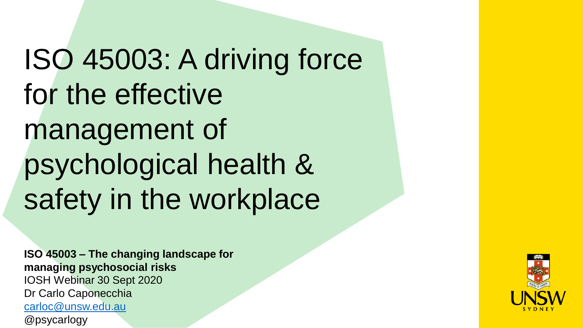ISO 45003: A driving force for the effective management of psychological health & safety in the workplace

**ISO 45003 – The changing landscape for managing psychosocial risks** IOSH Webinar 30 Sept 2020 Dr Carlo Caponecchia [carloc@unsw.edu.au](mailto:carloc@unsw.edu.au) @psycarlogy

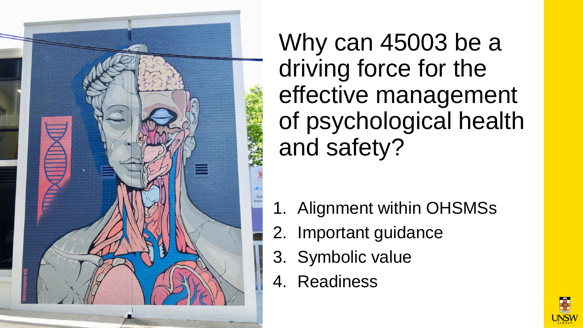

Why can 45003 be a driving force for the effective management of psychological health and safety?

- 1. Alignment within OHSMSs
- 2. Important guidance
- 3. Symbolic value
- 4. Readiness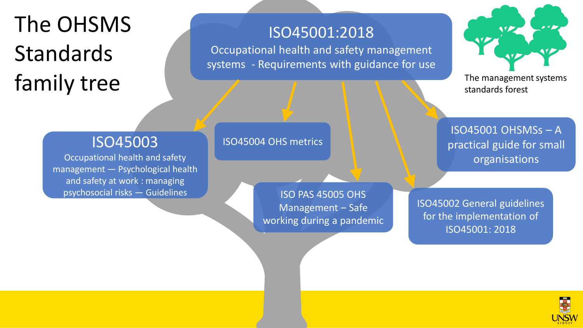## The OHSMS Standards Family tree The management systems and the management systems of the management systems

#### ISO45001:2018

Occupational health and safety management systems - Requirements with guidance for use

standards forest

### ISO45003

Occupational health and safety management — Psychological health and safety at work : managing psychosocial risks — Guidelines

#### ISO45004 OHS metrics

ISO PAS 45005 OHS Management – Safe working during a pandemic

ISO45001 OHSMSs – A practical guide for small organisations

ISO45002 General guidelines for the implementation of ISO45001: 2018

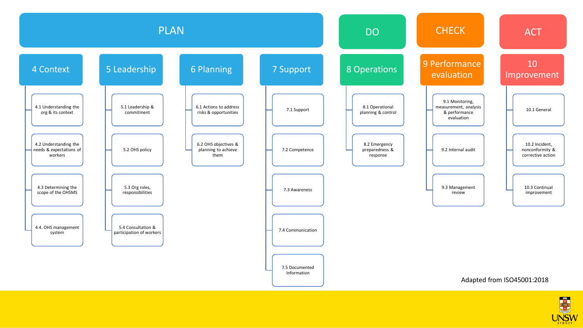

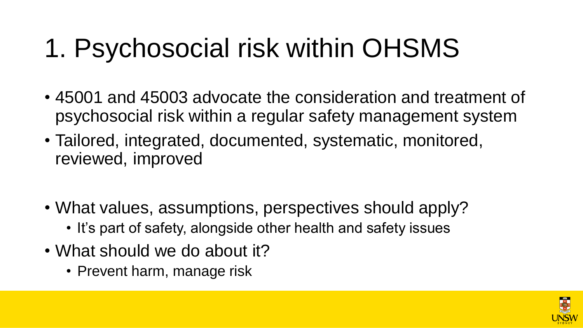# 1. Psychosocial risk within OHSMS

- 45001 and 45003 advocate the consideration and treatment of psychosocial risk within a regular safety management system
- Tailored, integrated, documented, systematic, monitored, reviewed, improved
- What values, assumptions, perspectives should apply?
	- It's part of safety, alongside other health and safety issues
- What should we do about it?
	- Prevent harm, manage risk

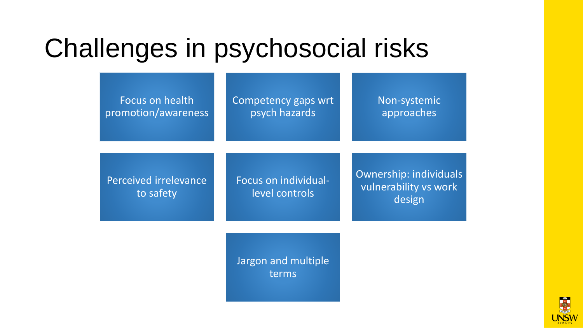## Challenges in psychosocial risks

Focus on health promotion/awareness Competency gaps wrt psych hazards

Non-systemic approaches

Perceived irrelevance to safety

Focus on individuallevel controls

Ownership: individuals vulnerability vs work design

Jargon and multiple terms

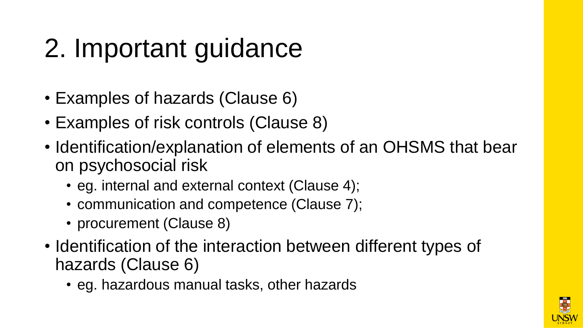# 2. Important guidance

- Examples of hazards (Clause 6)
- Examples of risk controls (Clause 8)
- Identification/explanation of elements of an OHSMS that bear on psychosocial risk
	- eg. internal and external context (Clause 4);
	- communication and competence (Clause 7);
	- procurement (Clause 8)
- Identification of the interaction between different types of hazards (Clause 6)
	- eg. hazardous manual tasks, other hazards

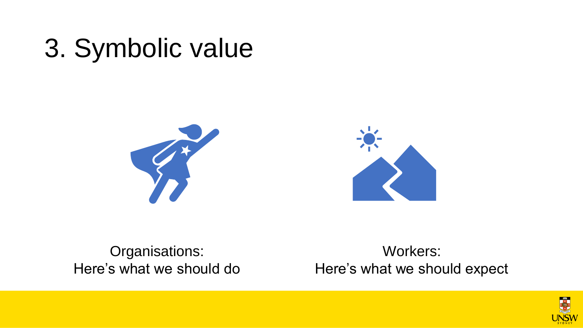# 3. Symbolic value





Organisations: Here's what we should do

Workers: Here's what we should expect

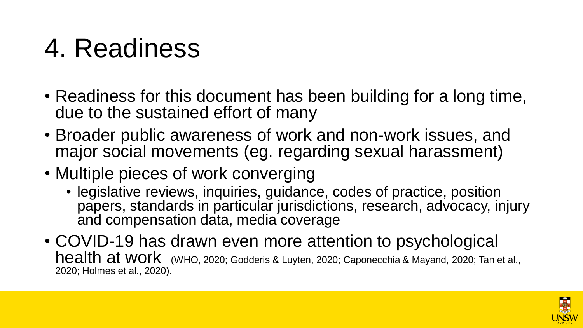# 4. Readiness

- Readiness for this document has been building for a long time, due to the sustained effort of many
- Broader public awareness of work and non-work issues, and major social movements (eg. regarding sexual harassment)
- Multiple pieces of work converging
	- legislative reviews, inquiries, guidance, codes of practice, position papers, standards in particular jurisdictions, research, advocacy, injury and compensation data, media coverage
- COVID-19 has drawn even more attention to psychological health at work (WHO, 2020; Godderis & Luyten, 2020; Caponecchia & Mayand, 2020; Tan et al., 2020; Holmes et al., 2020).